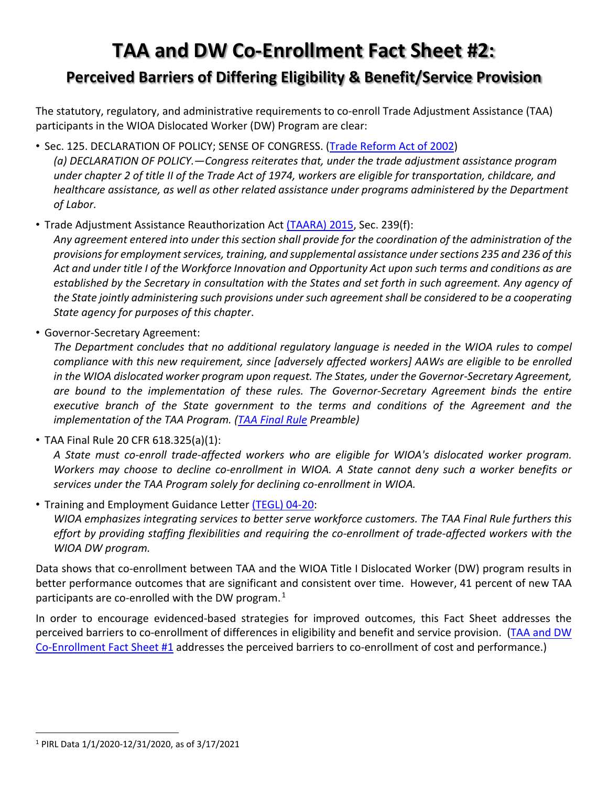## **TAA and DW Co-Enrollment Fact Sheet #2:**

### **Perceived Barriers of Differing Eligibility & Benefit/Service Provision**

The statutory, regulatory, and administrative requirements to co-enroll Trade Adjustment Assistance (TAA) participants in the WIOA Dislocated Worker (DW) Program are clear:

• Sec. 125. DECLARATION OF POLICY; SENSE OF CONGRESS. [\(Trade Reform Act of 2002\)](https://www.congress.gov/bill/107th-congress/house-bill/3009)

*(a) DECLARATION OF POLICY.—Congress reiterates that, under the trade adjustment assistance program under chapter 2 of title II of the Trade Act of 1974, workers are eligible for transportation, childcare, and healthcare assistance, as well as other related assistance under programs administered by the Department of Labor.*

• Trade Adjustment Assistance Reauthorization Act [\(TAARA\) 2015,](https://uscode.house.gov/view.xhtml?path=/prelim@title19/chapter12/subchapter2&edition=prelim) Sec. 239(f):

*Any agreement entered into under this section shall provide for the coordination of the administration of the provisions for employment services, training, and supplemental assistance under sections 235 and 236 of this Act and under title I of the Workforce Innovation and Opportunity Act upon such terms and conditions as are established by the Secretary in consultation with the States and set forth in such agreement. Any agency of the State jointly administering such provisions under such agreement shall be considered to be a cooperating State agency for purposes of this chapter*.

• Governor-Secretary Agreement:

*The Department concludes that no additional regulatory language is needed in the WIOA rules to compel compliance with this new requirement, since [adversely affected workers] AAWs are eligible to be enrolled in the WIOA dislocated worker program upon request. The States, under the Governor-Secretary Agreement, are bound to the implementation of these rules. The Governor-Secretary Agreement binds the entire executive branch of the State government to the terms and conditions of the Agreement and the implementation of the TAA Program. [\(TAA Final Rule](https://www.federalregister.gov/documents/2020/08/21/2020-13802/trade-adjustment-assistance-for-workers) Preamble)*

• TAA Final Rule 20 CFR 618.325(a)(1):

*A State must co-enroll trade-affected workers who are eligible for WIOA's dislocated worker program. Workers may choose to decline co-enrollment in WIOA. A State cannot deny such a worker benefits or services under the TAA Program solely for declining co-enrollment in WIOA.*

• Training and Employment Guidance Letter [\(TEGL\) 04-20:](https://wdr.doleta.gov/directives/corr_doc.cfm?DOCN=6273)

*WIOA emphasizes integrating services to better serve workforce customers. The TAA Final Rule furthers this effort by providing staffing flexibilities and requiring the co-enrollment of trade-affected workers with the WIOA DW program.*

Data shows that co-enrollment between TAA and the WIOA Title I Dislocated Worker (DW) program results in better performance outcomes that are significant and consistent over time. However, 41 percent of new TAA participants are co-enrolled with the DW program. $^1$ 

In order to encourage evidenced-based strategies for improved outcomes, this Fact Sheet addresses the perceived barriers to co-enrollment of differences in eligibility and benefit and service provision. [\(TAA and DW](https://www.doleta.gov/tradeact/taa-data/participant-reporting/docs/Co-Enrollment_FAQ-1.pdf)  [Co-Enrollment Fact Sheet](https://www.doleta.gov/tradeact/taa-data/participant-reporting/docs/Co-Enrollment_FAQ-1.pdf) #1 addresses the perceived barriers to co-enrollment of cost and performance.)

 <sup>1</sup> PIRL Data 1/1/2020-12/31/2020, as of 3/17/2021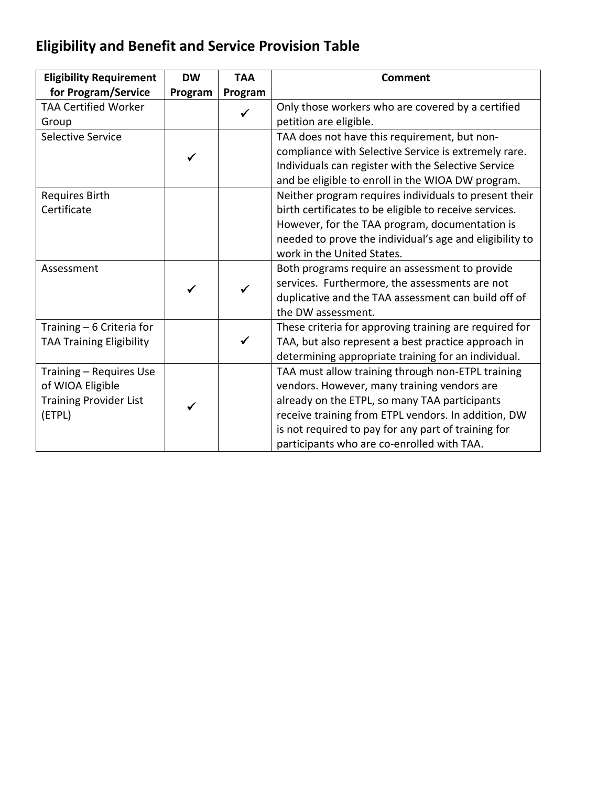## **Eligibility and Benefit and Service Provision Table**

| <b>Eligibility Requirement</b>  | <b>DW</b> | <b>TAA</b> | <b>Comment</b>                                          |
|---------------------------------|-----------|------------|---------------------------------------------------------|
| for Program/Service             | Program   | Program    |                                                         |
| <b>TAA Certified Worker</b>     |           |            | Only those workers who are covered by a certified       |
| Group                           |           |            | petition are eligible.                                  |
| Selective Service               |           |            | TAA does not have this requirement, but non-            |
|                                 |           |            | compliance with Selective Service is extremely rare.    |
|                                 |           |            | Individuals can register with the Selective Service     |
|                                 |           |            | and be eligible to enroll in the WIOA DW program.       |
| <b>Requires Birth</b>           |           |            | Neither program requires individuals to present their   |
| Certificate                     |           |            | birth certificates to be eligible to receive services.  |
|                                 |           |            | However, for the TAA program, documentation is          |
|                                 |           |            | needed to prove the individual's age and eligibility to |
|                                 |           |            | work in the United States.                              |
| Assessment                      |           |            | Both programs require an assessment to provide          |
|                                 |           |            | services. Furthermore, the assessments are not          |
|                                 |           |            | duplicative and the TAA assessment can build off of     |
|                                 |           |            | the DW assessment.                                      |
| Training - 6 Criteria for       |           |            | These criteria for approving training are required for  |
| <b>TAA Training Eligibility</b> |           |            | TAA, but also represent a best practice approach in     |
|                                 |           |            | determining appropriate training for an individual.     |
| Training - Requires Use         |           |            | TAA must allow training through non-ETPL training       |
| of WIOA Eligible                |           |            | vendors. However, many training vendors are             |
| <b>Training Provider List</b>   |           |            | already on the ETPL, so many TAA participants           |
| (ETPL)                          |           |            | receive training from ETPL vendors. In addition, DW     |
|                                 |           |            | is not required to pay for any part of training for     |
|                                 |           |            | participants who are co-enrolled with TAA.              |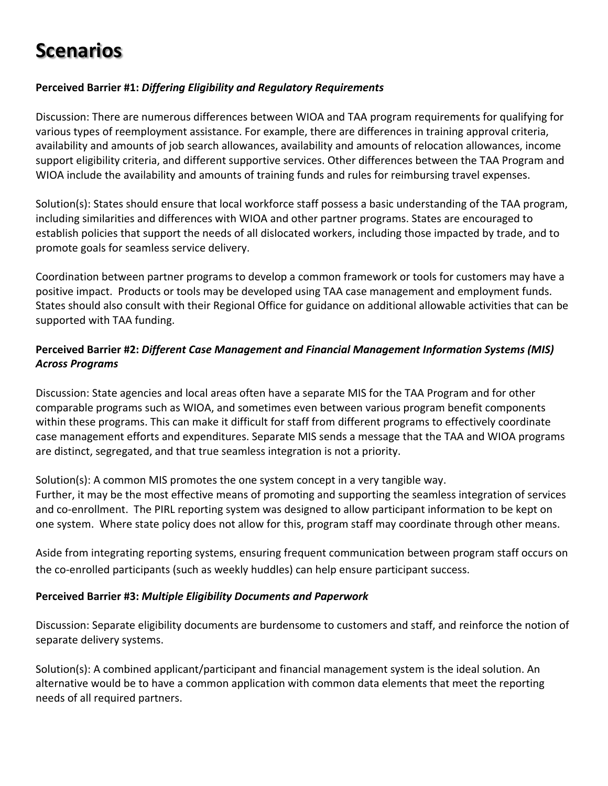# **Scenarios**

#### **Perceived Barrier #1:** *Differing Eligibility and Regulatory Requirements*

Discussion: There are numerous differences between WIOA and TAA program requirements for qualifying for various types of reemployment assistance. For example, there are differences in training approval criteria, availability and amounts of job search allowances, availability and amounts of relocation allowances, income support eligibility criteria, and different supportive services. Other differences between the TAA Program and WIOA include the availability and amounts of training funds and rules for reimbursing travel expenses.

Solution(s): States should ensure that local workforce staff possess a basic understanding of the TAA program, including similarities and differences with WIOA and other partner programs. States are encouraged to establish policies that support the needs of all dislocated workers, including those impacted by trade, and to promote goals for seamless service delivery.

Coordination between partner programs to develop a common framework or tools for customers may have a positive impact. Products or tools may be developed using TAA case management and employment funds. States should also consult with their Regional Office for guidance on additional allowable activities that can be supported with TAA funding.

#### **Perceived Barrier #2:** *Different Case Management and Financial Management Information Systems (MIS) Across Programs*

Discussion: State agencies and local areas often have a separate MIS for the TAA Program and for other comparable programs such as WIOA, and sometimes even between various program benefit components within these programs. This can make it difficult for staff from different programs to effectively coordinate case management efforts and expenditures. Separate MIS sends a message that the TAA and WIOA programs are distinct, segregated, and that true seamless integration is not a priority.

Solution(s): A common MIS promotes the one system concept in a very tangible way. Further, it may be the most effective means of promoting and supporting the seamless integration of services and co-enrollment. The PIRL reporting system was designed to allow participant information to be kept on one system. Where state policy does not allow for this, program staff may coordinate through other means.

Aside from integrating reporting systems, ensuring frequent communication between program staff occurs on the co-enrolled participants (such as weekly huddles) can help ensure participant success.

#### **Perceived Barrier #3:** *Multiple Eligibility Documents and Paperwork*

Discussion: Separate eligibility documents are burdensome to customers and staff, and reinforce the notion of separate delivery systems.

Solution(s): A combined applicant/participant and financial management system is the ideal solution. An alternative would be to have a common application with common data elements that meet the reporting needs of all required partners.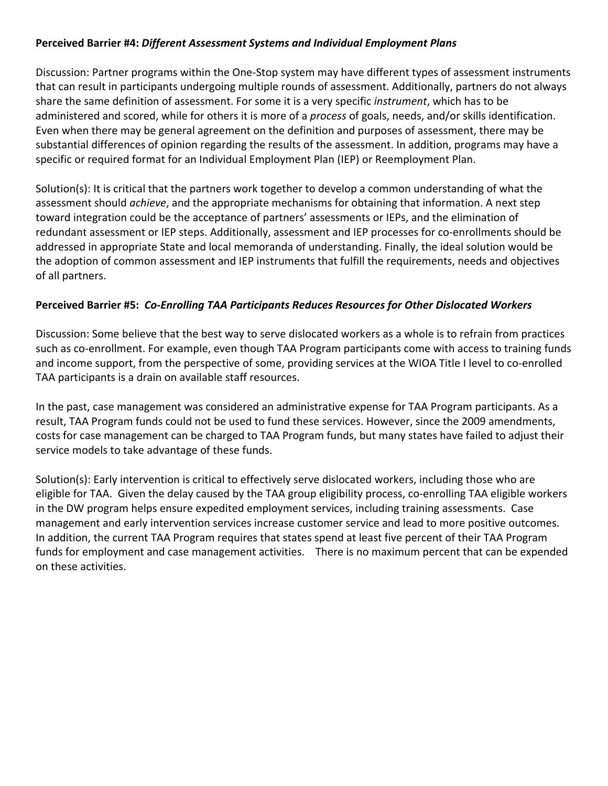#### **Perceived Barrier #4:** *Different Assessment Systems and Individual Employment Plans*

Discussion: Partner programs within the One-Stop system may have different types of assessment instruments that can result in participants undergoing multiple rounds of assessment. Additionally, partners do not always share the same definition of assessment. For some it is a very specific *instrument*, which has to be administered and scored, while for others it is more of a *process* of goals, needs, and/or skills identification. Even when there may be general agreement on the definition and purposes of assessment, there may be substantial differences of opinion regarding the results of the assessment. In addition, programs may have a specific or required format for an Individual Employment Plan (IEP) or Reemployment Plan.

Solution(s): It is critical that the partners work together to develop a common understanding of what the assessment should *achieve*, and the appropriate mechanisms for obtaining that information. A next step toward integration could be the acceptance of partners' assessments or IEPs, and the elimination of redundant assessment or IEP steps. Additionally, assessment and IEP processes for co-enrollments should be addressed in appropriate State and local memoranda of understanding. Finally, the ideal solution would be the adoption of common assessment and IEP instruments that fulfill the requirements, needs and objectives of all partners.

#### **Perceived Barrier #5:** *Co-Enrolling TAA Participants Reduces Resources for Other Dislocated Workers*

Discussion: Some believe that the best way to serve dislocated workers as a whole is to refrain from practices such as co-enrollment. For example, even though TAA Program participants come with access to training funds and income support, from the perspective of some, providing services at the WIOA Title I level to co-enrolled TAA participants is a drain on available staff resources.

In the past, case management was considered an administrative expense for TAA Program participants. As a result, TAA Program funds could not be used to fund these services. However, since the 2009 amendments, costs for case management can be charged to TAA Program funds, but many states have failed to adjust their service models to take advantage of these funds.

Solution(s): Early intervention is critical to effectively serve dislocated workers, including those who are eligible for TAA. Given the delay caused by the TAA group eligibility process, co-enrolling TAA eligible workers in the DW program helps ensure expedited employment services, including training assessments. Case management and early intervention services increase customer service and lead to more positive outcomes. In addition, the current TAA Program requires that states spend at least five percent of their TAA Program funds for employment and case management activities. There is no maximum percent that can be expended on these activities.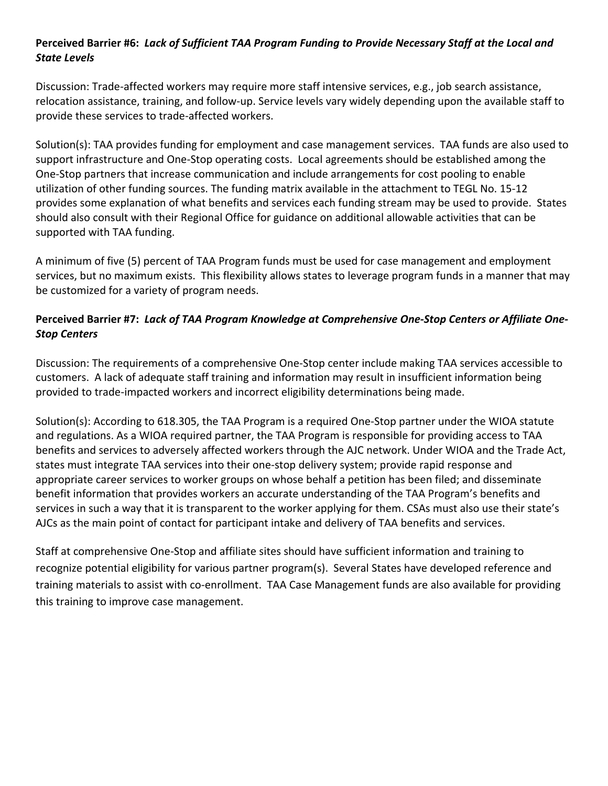#### **Perceived Barrier #6:** *Lack of Sufficient TAA Program Funding to Provide Necessary Staff at the Local and State Levels*

Discussion: Trade-affected workers may require more staff intensive services, e.g., job search assistance, relocation assistance, training, and follow-up. Service levels vary widely depending upon the available staff to provide these services to trade-affected workers.

Solution(s): TAA provides funding for employment and case management services. TAA funds are also used to support infrastructure and One-Stop operating costs. Local agreements should be established among the One-Stop partners that increase communication and include arrangements for cost pooling to enable utilization of other funding sources. The funding matrix available in the attachment to TEGL No. 15-12 provides some explanation of what benefits and services each funding stream may be used to provide. States should also consult with their Regional Office for guidance on additional allowable activities that can be supported with TAA funding.

A minimum of five (5) percent of TAA Program funds must be used for case management and employment services, but no maximum exists. This flexibility allows states to leverage program funds in a manner that may be customized for a variety of program needs.

#### **Perceived Barrier #7:** *Lack of TAA Program Knowledge at Comprehensive One-Stop Centers or Affiliate One-Stop Centers*

Discussion: The requirements of a comprehensive One-Stop center include making TAA services accessible to customers. A lack of adequate staff training and information may result in insufficient information being provided to trade-impacted workers and incorrect eligibility determinations being made.

Solution(s): According to 618.305, the TAA Program is a required One-Stop partner under the WIOA statute and regulations. As a WIOA required partner, the TAA Program is responsible for providing access to TAA benefits and services to adversely affected workers through the AJC network. Under WIOA and the Trade Act, states must integrate TAA services into their one-stop delivery system; provide rapid response and appropriate career services to worker groups on whose behalf a petition has been filed; and disseminate benefit information that provides workers an accurate understanding of the TAA Program's benefits and services in such a way that it is transparent to the worker applying for them. CSAs must also use their state's AJCs as the main point of contact for participant intake and delivery of TAA benefits and services.

Staff at comprehensive One-Stop and affiliate sites should have sufficient information and training to recognize potential eligibility for various partner program(s). Several States have developed reference and training materials to assist with co-enrollment. TAA Case Management funds are also available for providing this training to improve case management.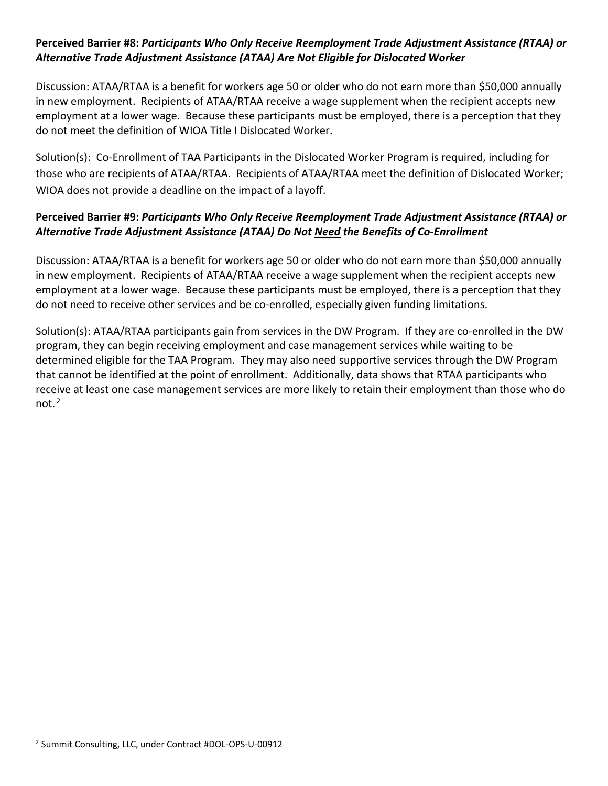#### **Perceived Barrier #8:** *Participants Who Only Receive Reemployment Trade Adjustment Assistance (RTAA) or Alternative Trade Adjustment Assistance (ATAA) Are Not Eligible for Dislocated Worker*

Discussion: ATAA/RTAA is a benefit for workers age 50 or older who do not earn more than \$50,000 annually in new employment. Recipients of ATAA/RTAA receive a wage supplement when the recipient accepts new employment at a lower wage. Because these participants must be employed, there is a perception that they do not meet the definition of WIOA Title I Dislocated Worker.

Solution(s): Co-Enrollment of TAA Participants in the Dislocated Worker Program is required, including for those who are recipients of ATAA/RTAA. Recipients of ATAA/RTAA meet the definition of Dislocated Worker; WIOA does not provide a deadline on the impact of a layoff.

#### **Perceived Barrier #9:** *Participants Who Only Receive Reemployment Trade Adjustment Assistance (RTAA) or Alternative Trade Adjustment Assistance (ATAA) Do Not Need the Benefits of Co-Enrollment*

Discussion: ATAA/RTAA is a benefit for workers age 50 or older who do not earn more than \$50,000 annually in new employment. Recipients of ATAA/RTAA receive a wage supplement when the recipient accepts new employment at a lower wage. Because these participants must be employed, there is a perception that they do not need to receive other services and be co-enrolled, especially given funding limitations.

Solution(s): ATAA/RTAA participants gain from services in the DW Program. If they are co-enrolled in the DW program, they can begin receiving employment and case management services while waiting to be determined eligible for the TAA Program. They may also need supportive services through the DW Program that cannot be identified at the point of enrollment. Additionally, data shows that RTAA participants who receive at least one case management services are more likely to retain their employment than those who do not. $^2$ 

 <sup>2</sup> Summit Consulting, LLC, under Contract #DOL-OPS-U-00912